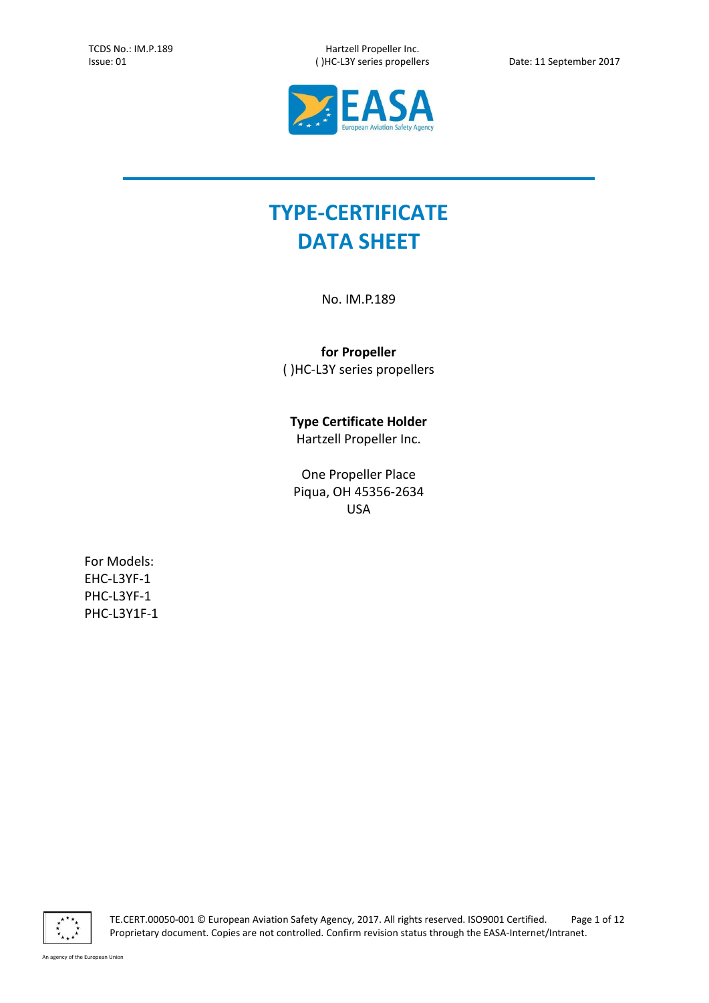TCDS No.: IM.P.189 Hartzell Propeller Inc.<br>
Issue: 01 (1) HC-13Y series propeller ()HC-L3Y series propellers Date: 11 September 2017



# **TYPE-CERTIFICATE DATA SHEET**

No. IM.P.189

# **for Propeller**

( )HC-L3Y series propellers

# **Type Certificate Holder**

Hartzell Propeller Inc.

One Propeller Place Piqua, OH 45356-2634 USA

For Models: EHC-L3YF-1 PHC-L3YF-1 PHC-L3Y1F-1



TE.CERT.00050-001 © European Aviation Safety Agency, 2017. All rights reserved. ISO9001 Certified. Page 1 of 12 Proprietary document. Copies are not controlled. Confirm revision status through the EASA-Internet/Intranet.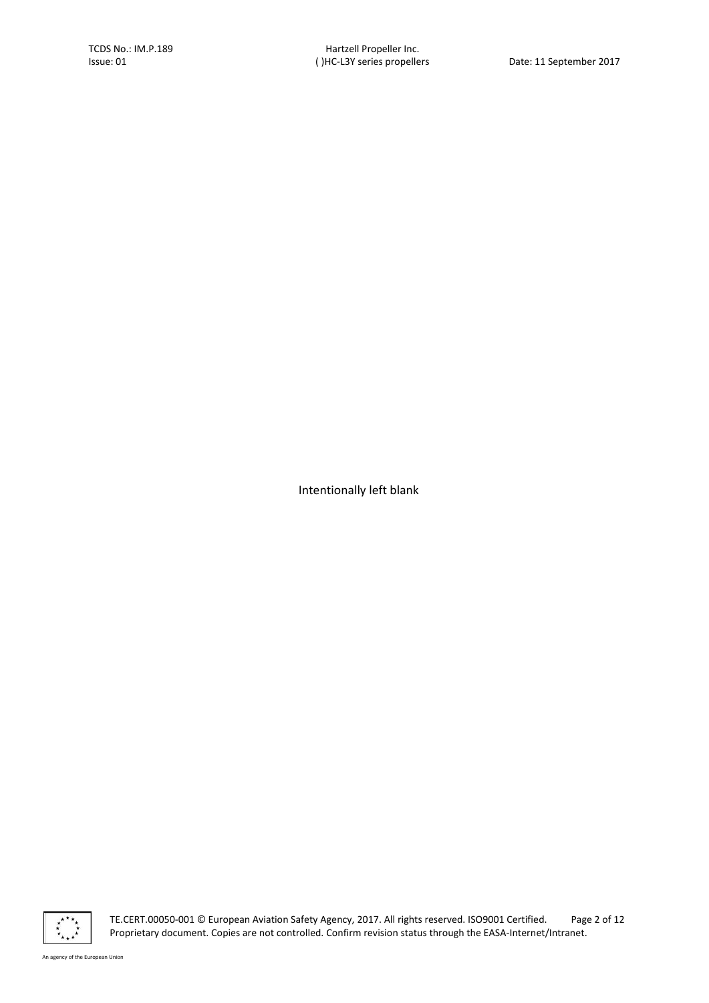Intentionally left blank



TE.CERT.00050-001 © European Aviation Safety Agency, 2017. All rights reserved. ISO9001 Certified. Page 2 of 12 Proprietary document. Copies are not controlled. Confirm revision status through the EASA-Internet/Intranet.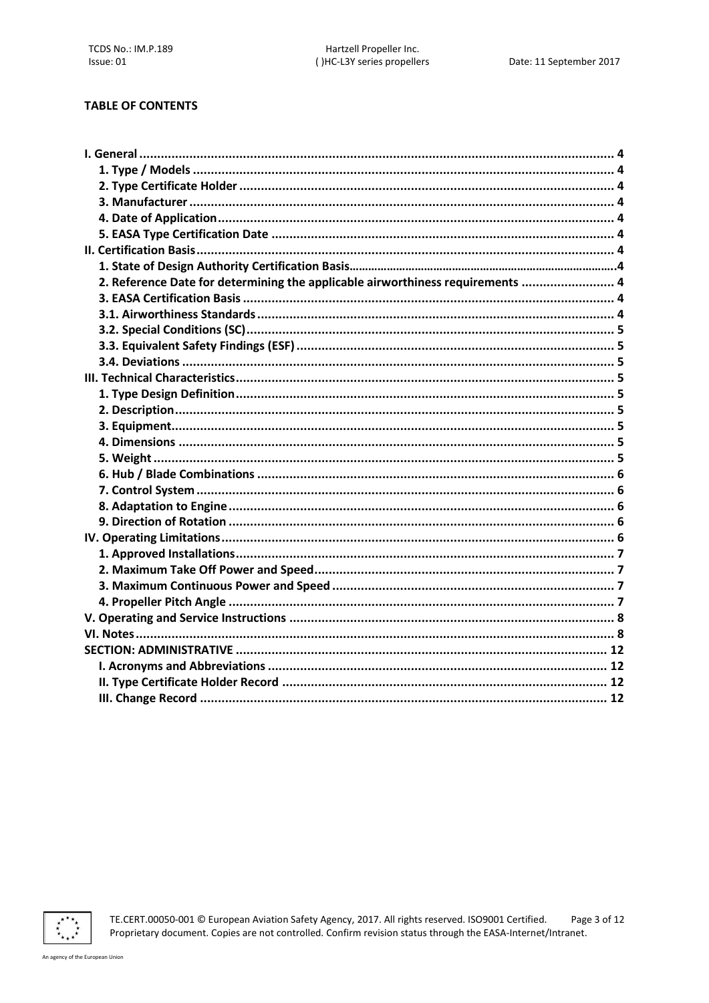# **TABLE OF CONTENTS**

| 2. Reference Date for determining the applicable airworthiness requirements  4 |
|--------------------------------------------------------------------------------|
|                                                                                |
|                                                                                |
|                                                                                |
|                                                                                |
|                                                                                |
|                                                                                |
|                                                                                |
|                                                                                |
|                                                                                |
|                                                                                |
|                                                                                |
|                                                                                |
|                                                                                |
|                                                                                |
|                                                                                |
|                                                                                |
|                                                                                |
|                                                                                |
|                                                                                |
|                                                                                |
|                                                                                |
|                                                                                |
|                                                                                |
|                                                                                |
|                                                                                |
|                                                                                |

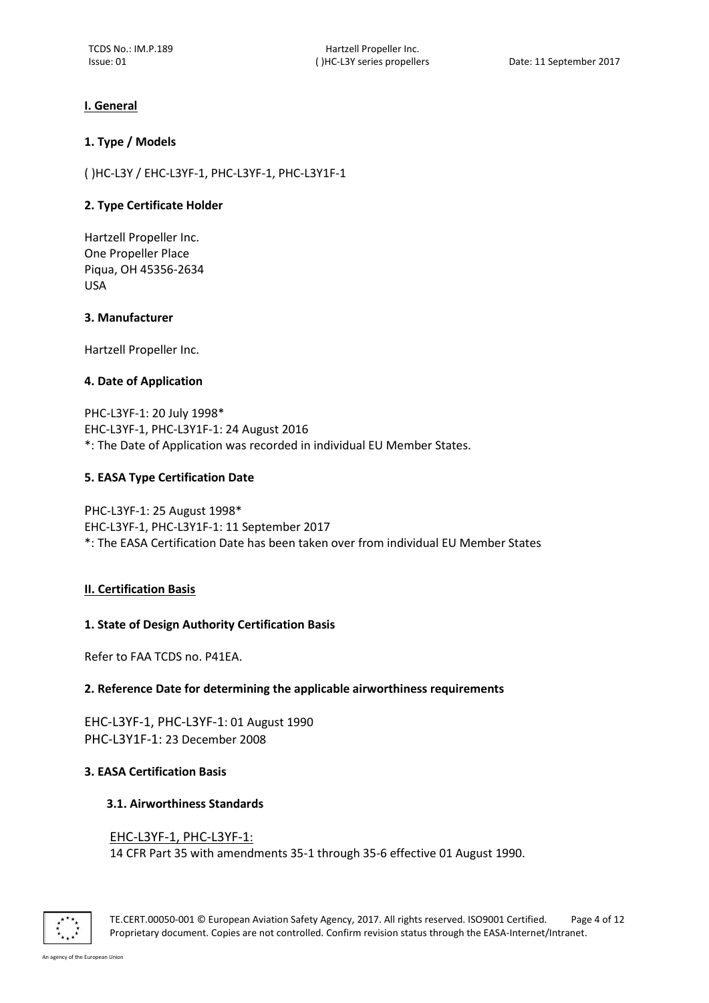# <span id="page-3-0"></span>**I. General**

# <span id="page-3-1"></span>**1. Type / Models**

( )HC-L3Y / EHC-L3YF-1, PHC-L3YF-1, PHC-L3Y1F-1

# <span id="page-3-2"></span>**2. Type Certificate Holder**

Hartzell Propeller Inc. One Propeller Place Piqua, OH 45356-2634 USA

#### <span id="page-3-3"></span>**3. Manufacturer**

Hartzell Propeller Inc.

#### <span id="page-3-4"></span>**4. Date of Application**

PHC-L3YF-1: 20 July 1998\* EHC-L3YF-1, PHC-L3Y1F-1: 24 August 2016 \*: The Date of Application was recorded in individual EU Member States.

#### <span id="page-3-5"></span>**5. EASA Type Certification Date**

PHC-L3YF-1: 25 August 1998\* EHC-L3YF-1, PHC-L3Y1F-1: 11 September 2017 \*: The EASA Certification Date has been taken over from individual EU Member States

#### <span id="page-3-6"></span>**II. Certification Basis**

#### **1. State of Design Authority Certification Basis**

Refer to FAA TCDS no. P41EA.

#### <span id="page-3-7"></span>**2. Reference Date for determining the applicable airworthiness requirements**

EHC-L3YF-1, PHC-L3YF-1: 01 August 1990 PHC-L3Y1F-1: 23 December 2008

#### <span id="page-3-8"></span>**3. EASA Certification Basis**

#### <span id="page-3-9"></span>**3.1. Airworthiness Standards**

#### EHC-L3YF-1, PHC-L3YF-1:

14 CFR Part 35 with amendments 35-1 through 35-6 effective 01 August 1990.



TE.CERT.00050-001 © European Aviation Safety Agency, 2017. All rights reserved. ISO9001 Certified. Page 4 of 12 Proprietary document. Copies are not controlled. Confirm revision status through the EASA-Internet/Intranet.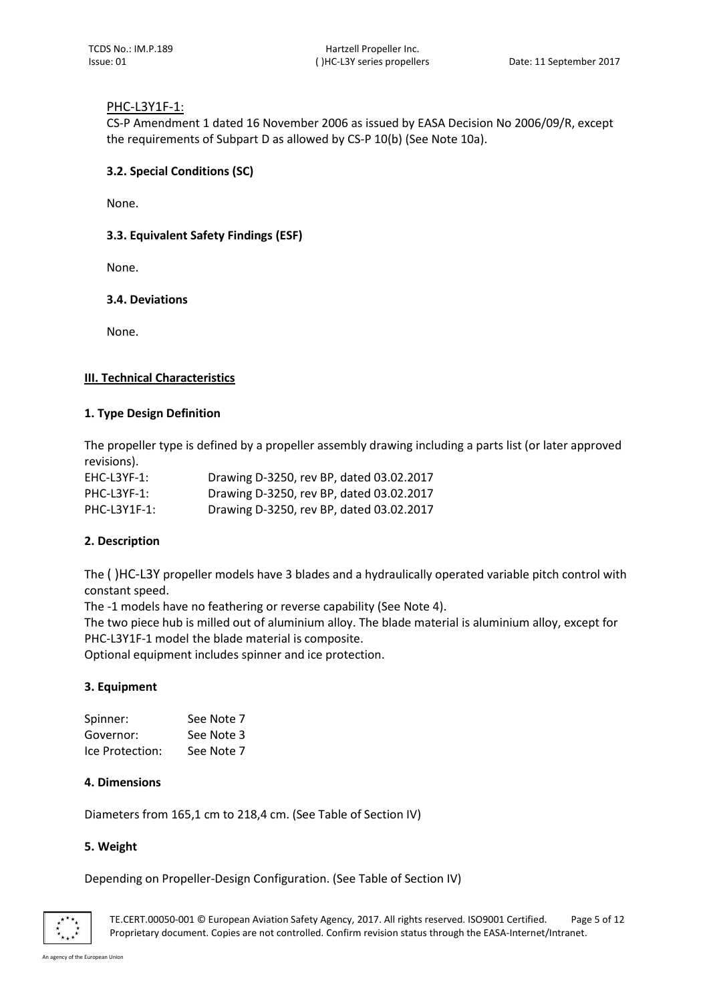# PHC-L3Y1F-1:

CS-P Amendment 1 dated 16 November 2006 as issued by EASA Decision No 2006/09/R, except the requirements of Subpart D as allowed by CS-P 10(b) (See Note 10a).

# <span id="page-4-0"></span>**3.2. Special Conditions (SC)**

None.

# <span id="page-4-1"></span>**3.3. Equivalent Safety Findings (ESF)**

None.

# <span id="page-4-2"></span>**3.4. Deviations**

None.

# <span id="page-4-3"></span>**III. Technical Characteristics**

#### <span id="page-4-4"></span>**1. Type Design Definition**

The propeller type is defined by a propeller assembly drawing including a parts list (or later approved revisions).

| $EHC-L3YF-1:$  | Drawing D-3250, rev BP, dated 03.02.2017 |
|----------------|------------------------------------------|
| $PHC-L3YF-1:$  | Drawing D-3250, rev BP, dated 03.02.2017 |
| $PHC-L3Y1F-1:$ | Drawing D-3250, rev BP, dated 03.02.2017 |

# <span id="page-4-5"></span>**2. Description**

The ( )HC-L3Y propeller models have 3 blades and a hydraulically operated variable pitch control with constant speed.

The -1 models have no feathering or reverse capability (See Note 4).

The two piece hub is milled out of aluminium alloy. The blade material is aluminium alloy, except for PHC-L3Y1F-1 model the blade material is composite.

Optional equipment includes spinner and ice protection.

#### <span id="page-4-6"></span>**3. Equipment**

| Spinner:        | See Note 7 |
|-----------------|------------|
| Governor:       | See Note 3 |
| Ice Protection: | See Note 7 |

#### <span id="page-4-7"></span>**4. Dimensions**

Diameters from 165,1 cm to 218,4 cm. (See Table of Section IV)

#### <span id="page-4-8"></span>**5. Weight**

Depending on Propeller-Design Configuration. (See Table of Section IV)



TE.CERT.00050-001 © European Aviation Safety Agency, 2017. All rights reserved. ISO9001 Certified. Page 5 of 12 Proprietary document. Copies are not controlled. Confirm revision status through the EASA-Internet/Intranet.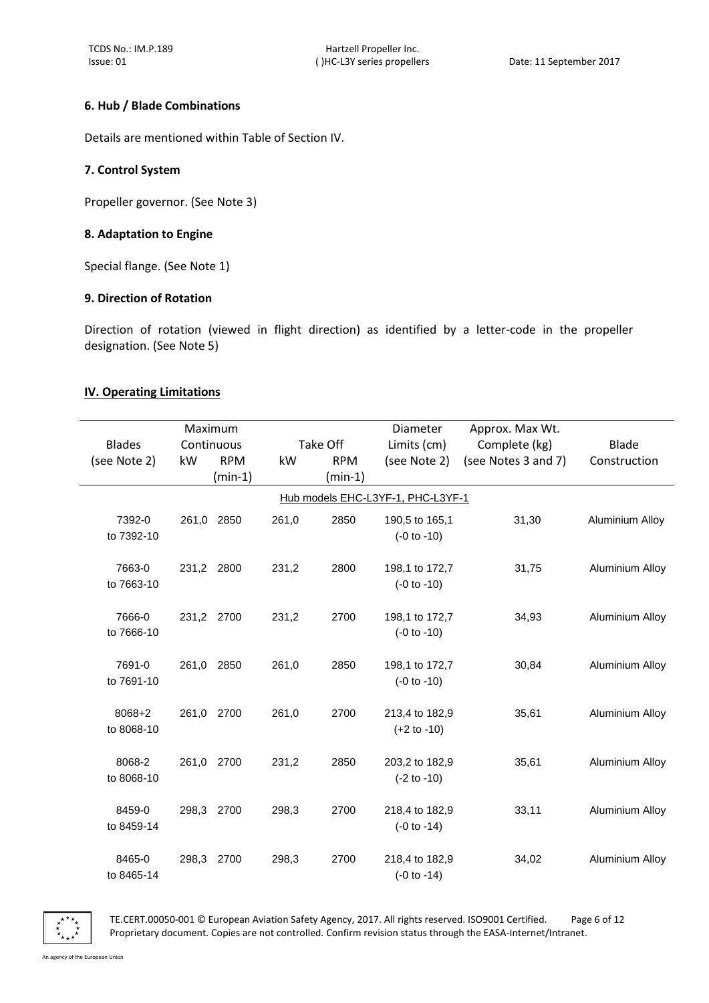#### <span id="page-5-0"></span>**6. Hub / Blade Combinations**

Details are mentioned within Table of Section IV.

# <span id="page-5-1"></span>**7. Control System**

Propeller governor. (See Note 3)

# <span id="page-5-2"></span>**8. Adaptation to Engine**

Special flange. (See Note 1)

# <span id="page-5-3"></span>**9. Direction of Rotation**

Direction of rotation (viewed in flight direction) as identified by a letter-code in the propeller designation. (See Note 5)

# <span id="page-5-4"></span>**IV. Operating Limitations**

| <b>Blades</b><br>(see Note 2) | kW    | Maximum<br>Continuous<br><b>RPM</b> | kW    | Take Off<br><b>RPM</b> | Diameter<br>Limits (cm)<br>(see Note 2) | Approx. Max Wt.<br>Complete (kg)<br>(see Notes 3 and 7) | <b>Blade</b><br>Construction |
|-------------------------------|-------|-------------------------------------|-------|------------------------|-----------------------------------------|---------------------------------------------------------|------------------------------|
|                               |       | $(min-1)$                           |       | $(min-1)$              |                                         |                                                         |                              |
|                               |       |                                     |       |                        | Hub models EHC-L3YF-1, PHC-L3YF-1       |                                                         |                              |
| 7392-0<br>to 7392-10          |       | 261,0 2850                          | 261,0 | 2850                   | 190,5 to 165,1<br>$(-0 to -10)$         | 31,30                                                   | Aluminium Alloy              |
| 7663-0<br>to 7663-10          |       | 231,2 2800                          | 231,2 | 2800                   | 198,1 to 172,7<br>$(-0 to -10)$         | 31,75                                                   | Aluminium Alloy              |
| 7666-0<br>to 7666-10          |       | 231,2 2700                          | 231,2 | 2700                   | 198,1 to 172,7<br>$(-0 to -10)$         | 34,93                                                   | <b>Aluminium Alloy</b>       |
| 7691-0<br>to 7691-10          |       | 261,0 2850                          | 261,0 | 2850                   | 198,1 to 172,7<br>$(-0 to -10)$         | 30,84                                                   | <b>Aluminium Alloy</b>       |
| 8068+2<br>to 8068-10          | 261,0 | 2700                                | 261,0 | 2700                   | 213,4 to 182,9<br>$(+2 to -10)$         | 35,61                                                   | Aluminium Alloy              |
| 8068-2<br>to 8068-10          |       | 261,0 2700                          | 231,2 | 2850                   | 203,2 to 182,9<br>$(-2 to -10)$         | 35,61                                                   | <b>Aluminium Alloy</b>       |
| 8459-0<br>to 8459-14          |       | 298,3 2700                          | 298,3 | 2700                   | 218,4 to 182,9<br>$(-0 to -14)$         | 33,11                                                   | Aluminium Alloy              |
| 8465-0<br>to 8465-14          | 298,3 | 2700                                | 298,3 | 2700                   | 218,4 to 182,9<br>$(-0 to -14)$         | 34,02                                                   | Aluminium Alloy              |



TE.CERT.00050-001 © European Aviation Safety Agency, 2017. All rights reserved. ISO9001 Certified. Page 6 of 12 Proprietary document. Copies are not controlled. Confirm revision status through the EASA-Internet/Intranet.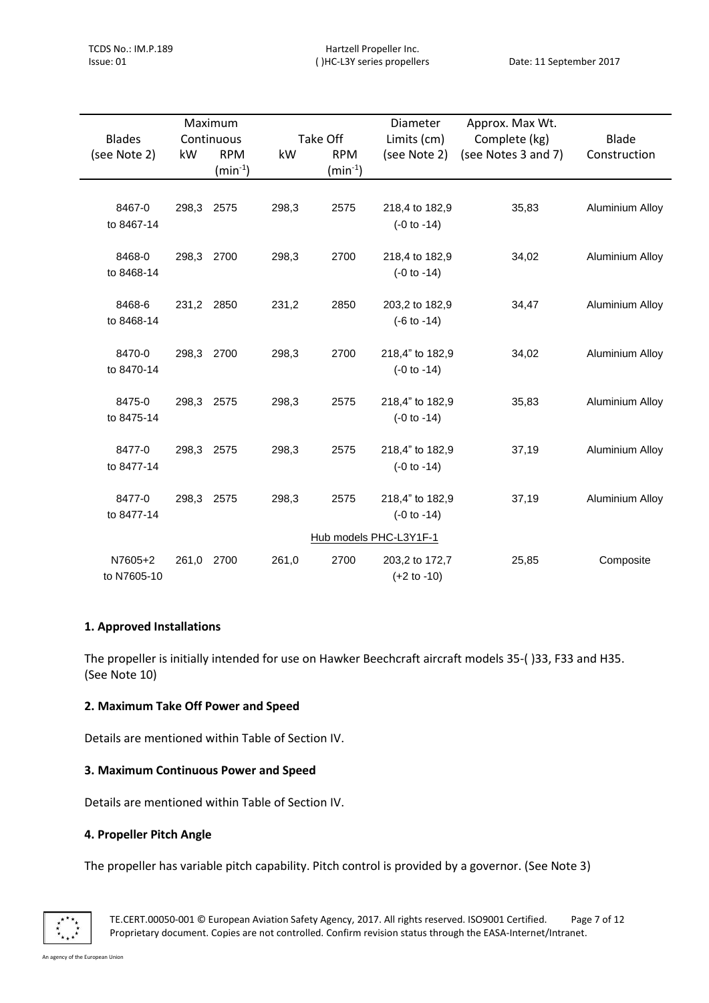| <b>Blades</b> |            | Maximum<br>Continuous |       | Take Off                   | Diameter<br>Limits (cm) | Approx. Max Wt.<br>Complete (kg) | <b>Blade</b>           |
|---------------|------------|-----------------------|-------|----------------------------|-------------------------|----------------------------------|------------------------|
| (see Note 2)  | kW         | <b>RPM</b>            | kW    | <b>RPM</b>                 | (see Note 2)            | (see Notes 3 and 7)              | Construction           |
|               |            | $(min^{-1})$          |       | $(\text{min}^{\text{-}1})$ |                         |                                  |                        |
| 8467-0        | 298,3 2575 |                       | 298,3 | 2575                       | 218,4 to 182,9          | 35,83                            | <b>Aluminium Alloy</b> |
| to 8467-14    |            |                       |       |                            | $(-0 to -14)$           |                                  |                        |
|               |            |                       |       |                            |                         |                                  |                        |
| 8468-0        | 298,3 2700 |                       | 298,3 | 2700                       | 218,4 to 182,9          | 34,02                            | Aluminium Alloy        |
| to 8468-14    |            |                       |       |                            | $(-0 to -14)$           |                                  |                        |
| 8468-6        | 231,2 2850 |                       | 231,2 | 2850                       | 203,2 to 182,9          | 34,47                            | Aluminium Alloy        |
| to 8468-14    |            |                       |       |                            | $(-6 to -14)$           |                                  |                        |
|               |            |                       |       |                            |                         |                                  |                        |
| 8470-0        | 298,3 2700 |                       | 298,3 | 2700                       | 218,4" to 182,9         | 34,02                            | Aluminium Alloy        |
| to 8470-14    |            |                       |       |                            | $(-0 to -14)$           |                                  |                        |
| 8475-0        | 298,3 2575 |                       | 298,3 | 2575                       | 218,4" to 182,9         | 35,83                            | Aluminium Alloy        |
| to 8475-14    |            |                       |       |                            | $(-0 to -14)$           |                                  |                        |
| 8477-0        | 298,3 2575 |                       | 298,3 | 2575                       | 218,4" to 182,9         | 37,19                            | Aluminium Alloy        |
| to 8477-14    |            |                       |       |                            | $(-0 to -14)$           |                                  |                        |
|               |            |                       |       |                            |                         |                                  |                        |
| 8477-0        | 298,3 2575 |                       | 298,3 | 2575                       | 218,4" to 182,9         | 37,19                            | Aluminium Alloy        |
| to 8477-14    |            |                       |       |                            | $(-0 to -14)$           |                                  |                        |
|               |            |                       |       |                            | Hub models PHC-L3Y1F-1  |                                  |                        |
| N7605+2       | 261,0 2700 |                       | 261,0 | 2700                       | 203,2 to 172,7          | 25,85                            | Composite              |
| to N7605-10   |            |                       |       |                            | $(+2 to -10)$           |                                  |                        |

#### <span id="page-6-0"></span>**1. Approved Installations**

The propeller is initially intended for use on Hawker Beechcraft aircraft models 35-( )33, F33 and H35. (See Note 10)

#### <span id="page-6-1"></span>**2. Maximum Take Off Power and Speed**

Details are mentioned within Table of Section IV.

# <span id="page-6-2"></span>**3. Maximum Continuous Power and Speed**

Details are mentioned within Table of Section IV.

#### <span id="page-6-3"></span>**4. Propeller Pitch Angle**

The propeller has variable pitch capability. Pitch control is provided by a governor. (See Note 3)



TE.CERT.00050-001 © European Aviation Safety Agency, 2017. All rights reserved. ISO9001 Certified. Page 7 of 12 Proprietary document. Copies are not controlled. Confirm revision status through the EASA-Internet/Intranet.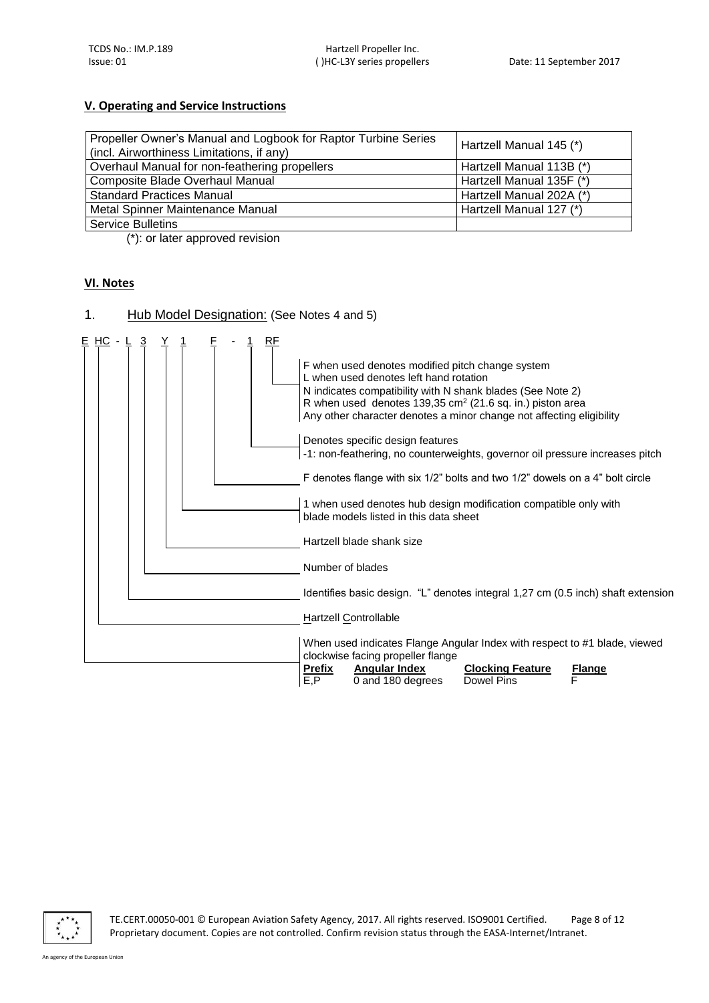#### <span id="page-7-0"></span>**V. Operating and Service Instructions**

| Propeller Owner's Manual and Logbook for Raptor Turbine Series<br>(incl. Airworthiness Limitations, if any) | Hartzell Manual 145 (*)  |
|-------------------------------------------------------------------------------------------------------------|--------------------------|
| Overhaul Manual for non-feathering propellers                                                               | Hartzell Manual 113B (*) |
| Composite Blade Overhaul Manual                                                                             | Hartzell Manual 135F (*) |
| <b>Standard Practices Manual</b>                                                                            | Hartzell Manual 202A (*) |
| Metal Spinner Maintenance Manual                                                                            | Hartzell Manual 127 (*)  |
| <b>Service Bulletins</b>                                                                                    |                          |

(\*): or later approved revision

#### <span id="page-7-1"></span>**VI. Notes**

#### 1. Hub Model Designation: (See Notes 4 and 5)





TE.CERT.00050-001 © European Aviation Safety Agency, 2017. All rights reserved. ISO9001 Certified. Page 8 of 12 Proprietary document. Copies are not controlled. Confirm revision status through the EASA-Internet/Intranet.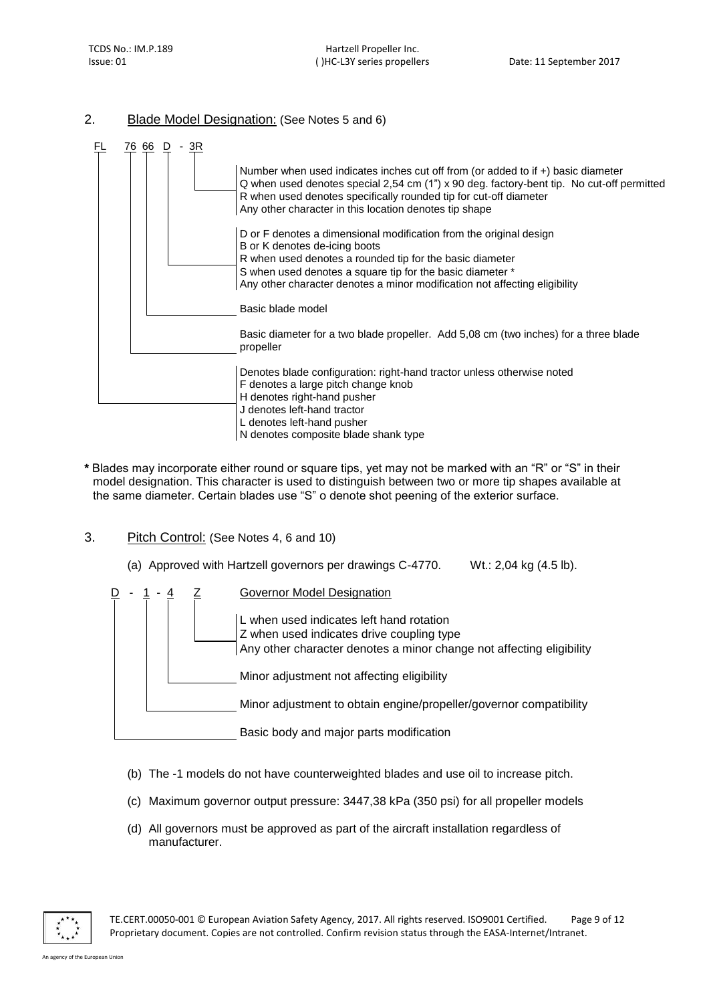# 2. Blade Model Designation: (See Notes 5 and 6)

| 3R<br>76<br>66 | Number when used indicates inches cut off from (or added to if +) basic diameter<br>Q when used denotes special 2,54 cm (1") x 90 deg. factory-bent tip. No cut-off permitted |
|----------------|-------------------------------------------------------------------------------------------------------------------------------------------------------------------------------|
|                | R when used denotes specifically rounded tip for cut-off diameter<br>Any other character in this location denotes tip shape                                                   |
|                | D or F denotes a dimensional modification from the original design<br>B or K denotes de-icing boots                                                                           |
|                | R when used denotes a rounded tip for the basic diameter                                                                                                                      |
|                | S when used denotes a square tip for the basic diameter *                                                                                                                     |
|                | Any other character denotes a minor modification not affecting eligibility                                                                                                    |
|                | Basic blade model                                                                                                                                                             |
|                | Basic diameter for a two blade propeller. Add 5,08 cm (two inches) for a three blade<br>propeller                                                                             |
|                | Denotes blade configuration: right-hand tractor unless otherwise noted                                                                                                        |
|                | F denotes a large pitch change knob                                                                                                                                           |
|                | H denotes right-hand pusher                                                                                                                                                   |
|                | J denotes left-hand tractor                                                                                                                                                   |
|                | L denotes left-hand pusher                                                                                                                                                    |
|                | N denotes composite blade shank type                                                                                                                                          |

**\*** Blades may incorporate either round or square tips, yet may not be marked with an "R" or "S" in their model designation. This character is used to distinguish between two or more tip shapes available at the same diameter. Certain blades use "S" o denote shot peening of the exterior surface.

#### 3. Pitch Control: (See Notes 4, 6 and 10)





- (b) The -1 models do not have counterweighted blades and use oil to increase pitch.
- (c) Maximum governor output pressure: 3447,38 kPa (350 psi) for all propeller models
- (d) All governors must be approved as part of the aircraft installation regardless of manufacturer.

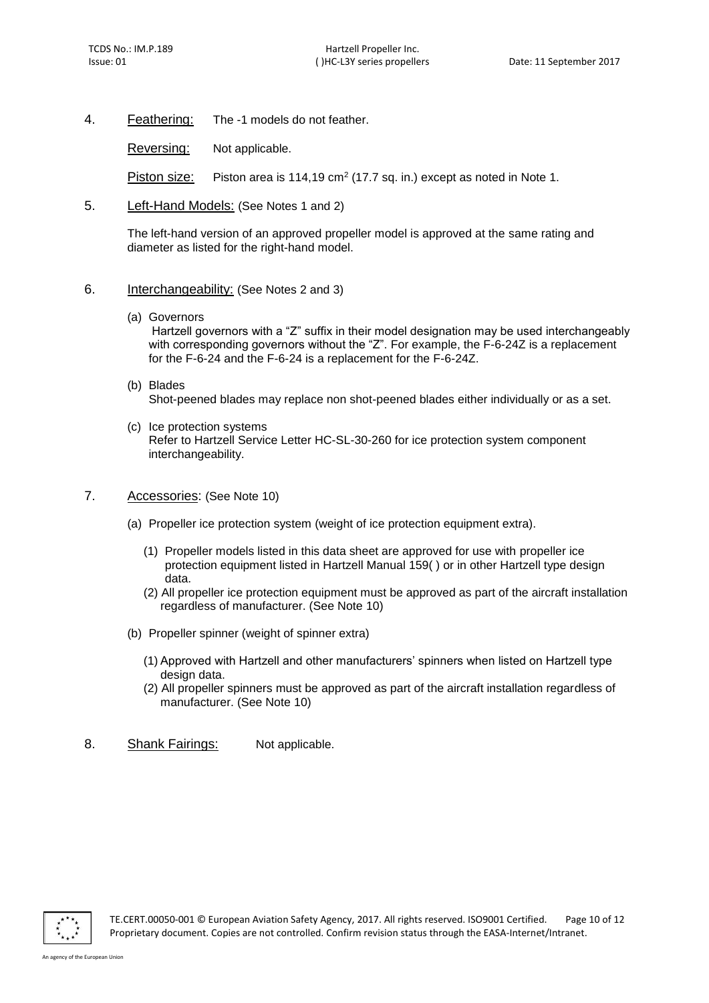4. Feathering: The -1 models do not feather.

Reversing: Not applicable.

Piston size: Piston area is 114,19 cm<sup>2</sup> (17.7 sq. in.) except as noted in Note 1.

5. Left-Hand Models: (See Notes 1 and 2)

The left-hand version of an approved propeller model is approved at the same rating and diameter as listed for the right-hand model.

- 6. **Interchangeability:** (See Notes 2 and 3)
	- (a) Governors Hartzell governors with a "Z" suffix in their model designation may be used interchangeably with corresponding governors without the "Z". For example, the F-6-24Z is a replacement for the F-6-24 and the F-6-24 is a replacement for the F-6-24Z.
	- (b) Blades Shot-peened blades may replace non shot-peened blades either individually or as a set.
	- (c) Ice protection systems Refer to Hartzell Service Letter HC-SL-30-260 for ice protection system component interchangeability.

#### 7. Accessories: (See Note 10)

- (a) Propeller ice protection system (weight of ice protection equipment extra).
	- (1) Propeller models listed in this data sheet are approved for use with propeller ice protection equipment listed in Hartzell Manual 159( ) or in other Hartzell type design data.
	- (2) All propeller ice protection equipment must be approved as part of the aircraft installation regardless of manufacturer. (See Note 10)
- (b) Propeller spinner (weight of spinner extra)
	- (1) Approved with Hartzell and other manufacturers' spinners when listed on Hartzell type design data.
	- (2) All propeller spinners must be approved as part of the aircraft installation regardless of manufacturer. (See Note 10)
- 8. Shank Fairings: Not applicable.

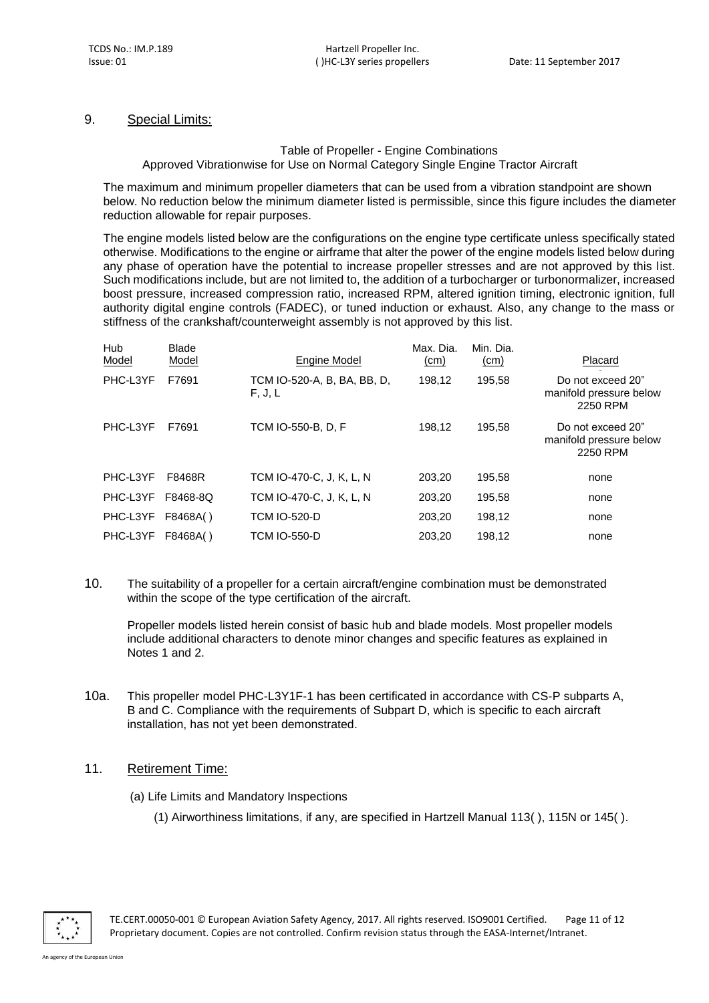#### 9. Special Limits:

Table of Propeller - Engine Combinations Approved Vibrationwise for Use on Normal Category Single Engine Tractor Aircraft

The maximum and minimum propeller diameters that can be used from a vibration standpoint are shown below. No reduction below the minimum diameter listed is permissible, since this figure includes the diameter reduction allowable for repair purposes.

The engine models listed below are the configurations on the engine type certificate unless specifically stated otherwise. Modifications to the engine or airframe that alter the power of the engine models listed below during any phase of operation have the potential to increase propeller stresses and are not approved by this list. Such modifications include, but are not limited to, the addition of a turbocharger or turbonormalizer, increased boost pressure, increased compression ratio, increased RPM, altered ignition timing, electronic ignition, full authority digital engine controls (FADEC), or tuned induction or exhaust. Also, any change to the mass or stiffness of the crankshaft/counterweight assembly is not approved by this list.

| Hub<br>Model | <b>Blade</b><br>Model | Engine Model                           | Max. Dia.<br>(cm) | Min. Dia.<br>(cm) | Placard                                                  |
|--------------|-----------------------|----------------------------------------|-------------------|-------------------|----------------------------------------------------------|
| PHC-L3YF     | F7691                 | TCM IO-520-A, B, BA, BB, D,<br>F, J, L | 198,12            | 195,58            | Do not exceed 20"<br>manifold pressure below<br>2250 RPM |
| PHC-L3YF     | F7691                 | TCM IO-550-B, D, F                     | 198,12            | 195,58            | Do not exceed 20"<br>manifold pressure below<br>2250 RPM |
| PHC-L3YF     | F8468R                | TCM IO-470-C, J, K, L, N               | 203,20            | 195,58            | none                                                     |
| PHC-L3YF     | F8468-8Q              | TCM IO-470-C, J, K, L, N               | 203,20            | 195,58            | none                                                     |
| PHC-L3YF     | F8468A()              | <b>TCM IO-520-D</b>                    | 203,20            | 198,12            | none                                                     |
| PHC-L3YF     | F8468A()              | <b>TCM IO-550-D</b>                    | 203,20            | 198,12            | none                                                     |

10. The suitability of a propeller for a certain aircraft/engine combination must be demonstrated within the scope of the type certification of the aircraft.

Propeller models listed herein consist of basic hub and blade models. Most propeller models include additional characters to denote minor changes and specific features as explained in Notes 1 and 2.

10a. This propeller model PHC-L3Y1F-1 has been certificated in accordance with CS-P subparts A, B and C. Compliance with the requirements of Subpart D, which is specific to each aircraft installation, has not yet been demonstrated.

#### 11. Retirement Time:

- (a) Life Limits and Mandatory Inspections
	- (1) Airworthiness limitations, if any, are specified in Hartzell Manual 113( ), 115N or 145( ).



TE.CERT.00050-001 © European Aviation Safety Agency, 2017. All rights reserved. ISO9001 Certified. Page 11 of 12 Proprietary document. Copies are not controlled. Confirm revision status through the EASA-Internet/Intranet.